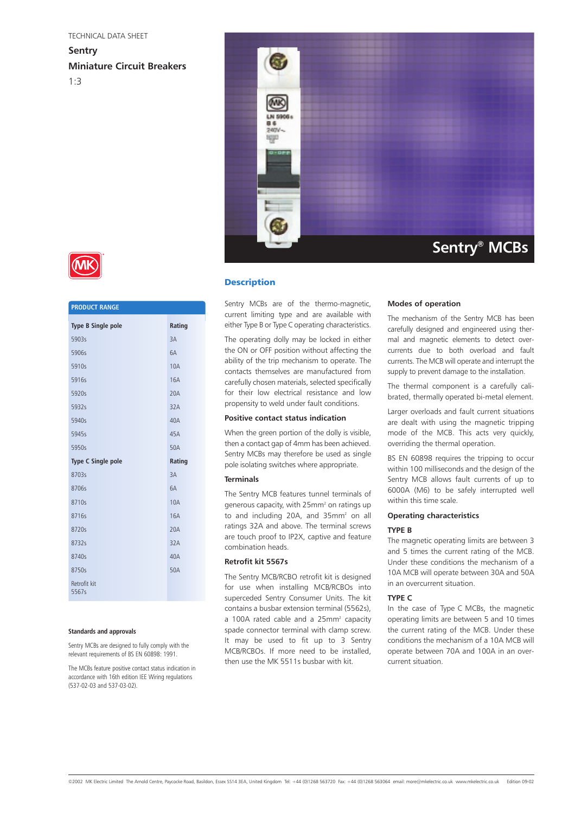#### TECHNICAL DATA SHEET

**Sentry Miniature Circuit Breakers** 1:3



# **Description**

Sentry MCBs are of the thermo-magnetic, current limiting type and are available with either Type B or Type C operating characteristics.

The operating dolly may be locked in either the ON or OFF position without affecting the ability of the trip mechanism to operate. The contacts themselves are manufactured from carefully chosen materials, selected specifically for their low electrical resistance and low propensity to weld under fault conditions.

## **Positive contact status indication**

When the green portion of the dolly is visible, then a contact gap of 4mm has been achieved. Sentry MCBs may therefore be used as single pole isolating switches where appropriate.

### **Terminals**

The Sentry MCB features tunnel terminals of generous capacity, with 25mm2 on ratings up to and including 20A, and 35mm<sup>2</sup> on all ratings 32A and above. The terminal screws are touch proof to IP2X, captive and feature combination heads.

## **Retrofit kit 5567s**

The Sentry MCB/RCBO retrofit kit is designed for use when installing MCB/RCBOs into superceded Sentry Consumer Units. The kit contains a busbar extension terminal (5562s), a 100A rated cable and a 25mm<sup>2</sup> capacity spade connector terminal with clamp screw. It may be used to fit up to 3 Sentry MCB/RCBOs. If more need to be installed, then use the MK 5511s busbar with kit.

#### **Modes of operation**

The mechanism of the Sentry MCB has been carefully designed and engineered using thermal and magnetic elements to detect overcurrents due to both overload and fault currents. The MCB will operate and interrupt the supply to prevent damage to the installation.

The thermal component is a carefully calibrated, thermally operated bi-metal element.

Larger overloads and fault current situations are dealt with using the magnetic tripping mode of the MCB. This acts very quickly, overriding the thermal operation.

BS EN 60898 requires the tripping to occur within 100 milliseconds and the design of the Sentry MCB allows fault currents of up to 6000A (M6) to be safely interrupted well within this time scale.

### **Operating characteristics**

# **TYPE B**

The magnetic operating limits are between 3 and 5 times the current rating of the MCB. Under these conditions the mechanism of a 10A MCB will operate between 30A and 50A in an overcurrent situation.

### **TYPE C**

In the case of Type C MCBs, the magnetic operating limits are between 5 and 10 times the current rating of the MCB. Under these conditions the mechanism of a 10A MCB will operate between 70A and 100A in an overcurrent situation.



| <b>PRODUCT RANGE</b>      |            |
|---------------------------|------------|
| <b>Type B Single pole</b> | Rating     |
| 5903s                     | 3A         |
| 5906s                     | 6A         |
| 5910s                     | <b>10A</b> |
| 5916s                     | <b>16A</b> |
| 5920s                     | 20A        |
| 5932s                     | 32A        |
| 5940s                     | 40A        |
| 5945s                     | 45A        |
| 5950s                     | 50A        |
|                           |            |
| <b>Type C Single pole</b> | Rating     |
| 8703s                     | 3A         |
| 8706s                     | 6A         |
| 8710s                     | <b>10A</b> |
| 8716s                     | <b>16A</b> |
| 8720s                     | 20A        |
| 8732s                     | 32A        |
| 8740s                     | 40A        |
| 8750s                     | 50A        |

#### **Standards and approvals**

Sentry MCBs are designed to fully comply with the relevant requirements of BS EN 60898: 1991.

The MCBs feature positive contact status indication in accordance with 16th edition IEE Wiring regulations (537-02-03 and 537-03-02).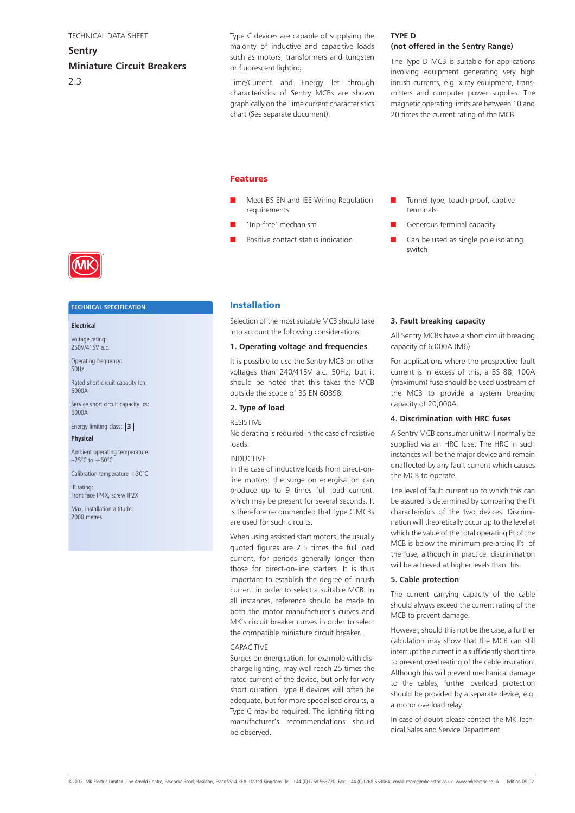# **Sentry Miniature Circuit Breakers**  $2.3$

Type C devices are capable of supplying the majority of inductive and capacitive loads such as motors, transformers and tungsten or fluorescent lighting.

Time/Current and Energy let through characteristics of Sentry MCBs are shown graphically on the Time current characteristics chart (See separate document).

### **TYPE D (not offered in the Sentry Range)**

The Type D MCB is suitable for applications involving equipment generating very high inrush currents, e.g. x-ray equipment, transmitters and computer power supplies. The magnetic operating limits are between 10 and 20 times the current rating of the MCB.

## Features

- Meet BS EN and IEE Wiring Regulation requirements
- 'Trip-free' mechanism
- Positive contact status indication
- Tunnel type, touch-proof, captive terminals
- Generous terminal capacity
- Can be used as single pole isolating switch



#### **TECHNICAL SPECIFICATION**

# **Electrical**

Voltage rating: 250V/415V a.c.

Operating frequency: 50Hz

Rated short circuit capacity Icn: 6000A

Service short circuit capacity Ics: 6000A

Energy limiting class: **3 Physical**

Ambient operating temperature:  $-25^{\circ}$ C to  $+60^{\circ}$ C

Calibration temperature  $+30^{\circ}$ C

IP rating: Front face IP4X, screw IP2X

Max. installation altitude: 2000 metres

# Installation

Selection of the most suitable MCB should take into account the following considerations:

# **1. Operating voltage and frequencies**

It is possible to use the Sentry MCB on other voltages than 240/415V a.c. 50Hz, but it should be noted that this takes the MCB outside the scope of BS EN 60898.

# **2. Type of load**

### RESISTIVE

No derating is required in the case of resistive loads.

#### INDUCTIVE

In the case of inductive loads from direct-online motors, the surge on energisation can produce up to 9 times full load current, which may be present for several seconds. It is therefore recommended that Type C MCBs are used for such circuits.

When using assisted start motors, the usually quoted figures are 2.5 times the full load current, for periods generally longer than those for direct-on-line starters. It is thus important to establish the degree of inrush current in order to select a suitable MCB. In all instances, reference should be made to both the motor manufacturer's curves and MK's circuit breaker curves in order to select the compatible miniature circuit breaker.

#### CAPACITIVE

Surges on energisation, for example with discharge lighting, may well reach 25 times the rated current of the device, but only for very short duration. Type B devices will often be adequate, but for more specialised circuits, a Type C may be required. The lighting fitting manufacturer's recommendations should be observed.

### **3. Fault breaking capacity**

All Sentry MCBs have a short circuit breaking capacity of 6,000A (M6).

For applications where the prospective fault current is in excess of this, a BS 88, 100A (maximum) fuse should be used upstream of the MCB to provide a system breaking capacity of 20,000A.

## **4. Discrimination with HRC fuses**

A Sentry MCB consumer unit will normally be supplied via an HRC fuse. The HRC in such instances will be the major device and remain unaffected by any fault current which causes the MCB to operate.

The level of fault current up to which this can be assured is determined by comparing the  $l^2$ t characteristics of the two devices. Discrimination will theoretically occur up to the level at which the value of the total operating I<del>'</del>t of the MCB is below the minimum pre-arcing  $l^2t$  of the fuse, although in practice, discrimination will be achieved at higher levels than this.

### **5. Cable protection**

The current carrying capacity of the cable should always exceed the current rating of the MCB to prevent damage.

However, should this not be the case, a further calculation may show that the MCB can still interrupt the current in a sufficiently short time to prevent overheating of the cable insulation. Although this will prevent mechanical damage to the cables, further overload protection should be provided by a separate device, e.g. a motor overload relay.

In case of doubt please contact the MK Technical Sales and Service Department.